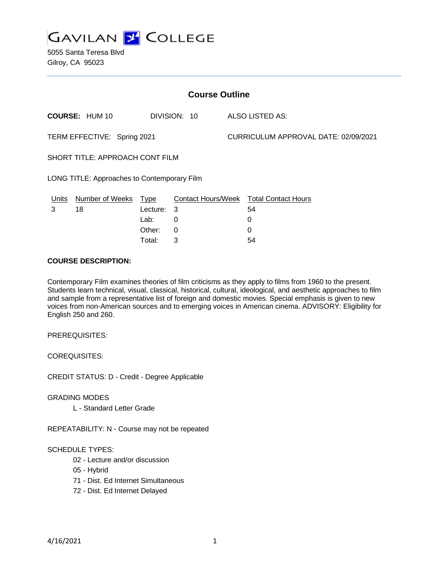

5055 Santa Teresa Blvd Gilroy, CA 95023

| <b>Course Outline</b>                       |                        |             |              |                                      |                                               |
|---------------------------------------------|------------------------|-------------|--------------|--------------------------------------|-----------------------------------------------|
|                                             | <b>COURSE: HUM 10</b>  |             | DIVISION: 10 |                                      | <b>ALSO LISTED AS:</b>                        |
| TERM EFFECTIVE: Spring 2021                 |                        |             |              | CURRICULUM APPROVAL DATE: 02/09/2021 |                                               |
| SHORT TITLE: APPROACH CONT FILM             |                        |             |              |                                      |                                               |
| LONG TITLE: Approaches to Contemporary Film |                        |             |              |                                      |                                               |
| <u>Units</u>                                | <b>Number of Weeks</b> | <u>Type</u> |              |                                      | <b>Contact Hours/Week Total Contact Hours</b> |
| 3                                           | 18                     | Lecture:    | 3            |                                      | 54                                            |
|                                             |                        | Lab:        | 0            |                                      | 0                                             |
|                                             |                        | Other:      | $\Omega$     |                                      | 0                                             |
|                                             |                        | Total:      | 3            |                                      | 54                                            |

#### **COURSE DESCRIPTION:**

Contemporary Film examines theories of film criticisms as they apply to films from 1960 to the present. Students learn technical, visual, classical, historical, cultural, ideological, and aesthetic approaches to film and sample from a representative list of foreign and domestic movies. Special emphasis is given to new voices from non-American sources and to emerging voices in American cinema. ADVISORY: Eligibility for English 250 and 260.

PREREQUISITES:

COREQUISITES:

CREDIT STATUS: D - Credit - Degree Applicable

GRADING MODES

L - Standard Letter Grade

REPEATABILITY: N - Course may not be repeated

#### SCHEDULE TYPES:

- 02 Lecture and/or discussion
- 05 Hybrid
- 71 Dist. Ed Internet Simultaneous
- 72 Dist. Ed Internet Delayed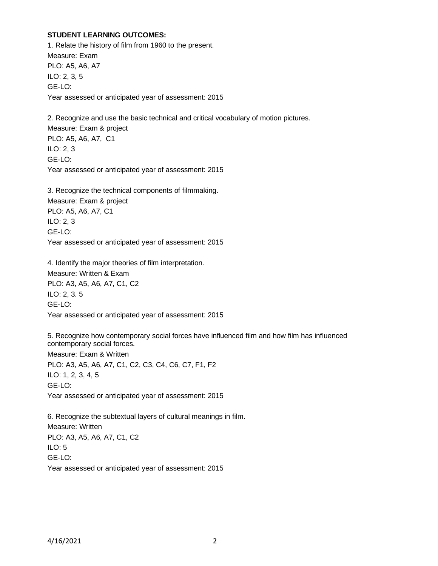#### **STUDENT LEARNING OUTCOMES:**

1. Relate the history of film from 1960 to the present. Measure: Exam PLO: A5, A6, A7 ILO: 2, 3, 5 GE-LO: Year assessed or anticipated year of assessment: 2015

2. Recognize and use the basic technical and critical vocabulary of motion pictures. Measure: Exam & project PLO: A5, A6, A7, C1 ILO: 2, 3 GE-LO: Year assessed or anticipated year of assessment: 2015

3. Recognize the technical components of filmmaking. Measure: Exam & project PLO: A5, A6, A7, C1 ILO: 2, 3 GE-LO: Year assessed or anticipated year of assessment: 2015

4. Identify the major theories of film interpretation. Measure: Written & Exam PLO: A3, A5, A6, A7, C1, C2 ILO: 2, 3. 5 GE-LO: Year assessed or anticipated year of assessment: 2015

5. Recognize how contemporary social forces have influenced film and how film has influenced contemporary social forces.

Measure: Exam & Written PLO: A3, A5, A6, A7, C1, C2, C3, C4, C6, C7, F1, F2 ILO: 1, 2, 3, 4, 5 GE-LO: Year assessed or anticipated year of assessment: 2015

6. Recognize the subtextual layers of cultural meanings in film. Measure: Written PLO: A3, A5, A6, A7, C1, C2 ILO: 5 GE-LO: Year assessed or anticipated year of assessment: 2015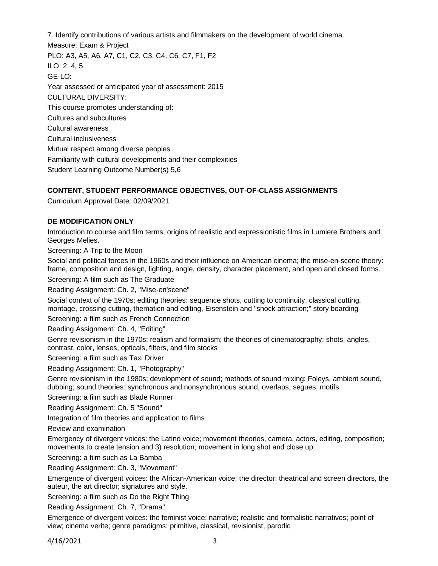7. Identify contributions of various artists and filmmakers on the development of world cinema.

Measure: Exam & Project PLO: A3, A5, A6, A7, C1, C2, C3, C4, C6, C7, F1, F2 ILO: 2, 4, 5 GE-LO: Year assessed or anticipated year of assessment: 2015 CULTURAL DIVERSITY: This course promotes understanding of: Cultures and subcultures Cultural awareness Cultural inclusiveness Mutual respect among diverse peoples Familiarity with cultural developments and their complexities Student Learning Outcome Number(s) 5,6

# **CONTENT, STUDENT PERFORMANCE OBJECTIVES, OUT-OF-CLASS ASSIGNMENTS**

Curriculum Approval Date: 02/09/2021

## **DE MODIFICATION ONLY**

Introduction to course and film terms; origins of realistic and expressionistic films in Lumiere Brothers and Georges Melies.

Screening: A Trip to the Moon

Social and political forces in the 1960s and their influence on American cinema; the mise-en-scene theory: frame, composition and design, lighting, angle, density, character placement, and open and closed forms.

Screening: A film such as The Graduate

Reading Assignment: Ch. 2, "Mise-en'scene"

Social context of the 1970s; editing theories: sequence shots, cutting to continuity, classical cutting, montage, crossing-cutting, thematicn and editing, Eisenstein and "shock attraction;" story boarding

Screening: a film such as French Connection

Reading Assignment: Ch. 4, "Editing"

Genre revisionism in the 1970s; realism and formalism; the theories of cinematography: shots, angles, contrast, color, lenses, opticals, filters, and film stocks

Screening: a film such as Taxi Driver

Reading Assignment: Ch. 1, "Photography"

Genre revisionism in the 1980s; development of sound; methods of sound mixing: Foleys, ambient sound, dubbing; sound theories: synchronous and nonsynchronous sound, overlaps, segues, motifs

Screening: a film such as Blade Runner

Reading Assignment: Ch. 5 "Sound"

Integration of film theories and application to films

Review and examination

Emergency of divergent voices: the Latino voice; movement theories, camera, actors, editing, composition; movements to create tension and 3) resolution; movement in long shot and close up

Screening: a film such as La Bamba

Reading Assignment: Ch. 3, "Movement"

Emergence of divergent voices: the African-American voice; the director: theatrical and screen directors, the auteur, the art director; signatures and style.

Screening: a film such as Do the Right Thing

Reading Assignment: Ch. 7, "Drama"

Emergence of divergent voices: the feminist voice; narrative; realistic and formalistic narratives; point of view; cinema verite; genre paradigms: primitive, classical, revisionist, parodic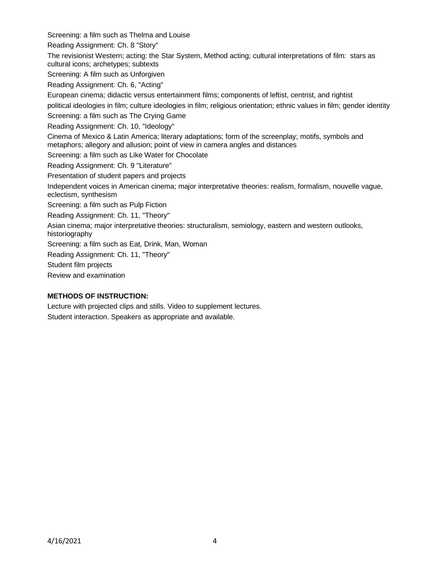Screening: a film such as Thelma and Louise

Reading Assignment: Ch. 8 "Story"

The revisionist Western; acting: the Star System, Method acting; cultural interpretations of film: stars as cultural icons; archetypes; subtexts

Screening: A film such as Unforgiven

Reading Assignment: Ch. 6, "Acting"

European cinema; didactic versus entertainment films; components of leftist, centrist, and rightist

political ideologies in film; culture ideologies in film; religious orientation; ethnic values in film; gender identity

Screening: a film such as The Crying Game

Reading Assignment: Ch. 10, "Ideology"

Cinema of Mexico & Latin America; literary adaptations; form of the screenplay; motifs, symbols and metaphors; allegory and allusion; point of view in camera angles and distances

Screening: a film such as Like Water for Chocolate

Reading Assignment: Ch. 9 "Literature"

Presentation of student papers and projects

Independent voices in American cinema; major interpretative theories: realism, formalism, nouvelle vague, eclectism, synthesism

Screening: a film such as Pulp Fiction

Reading Assignment: Ch. 11, "Theory"

Asian cinema; major interpretative theories: structuralism, semiology, eastern and western outlooks, historiography

Screening: a film such as Eat, Drink, Man, Woman

Reading Assignment: Ch. 11, "Theory"

Student film projects

Review and examination

## **METHODS OF INSTRUCTION:**

Lecture with projected clips and stills. Video to supplement lectures. Student interaction. Speakers as appropriate and available.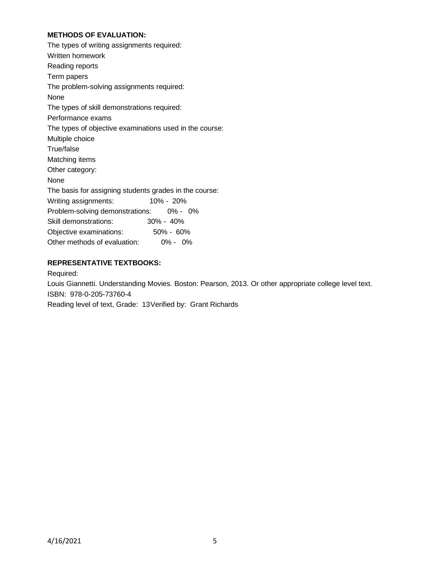## **METHODS OF EVALUATION:**

The types of writing assignments required: Written homework Reading reports Term papers The problem-solving assignments required: None The types of skill demonstrations required: Performance exams The types of objective examinations used in the course: Multiple choice True/false Matching items Other category: None The basis for assigning students grades in the course: Writing assignments: 10% - 20% Problem-solving demonstrations: 0% - 0% Skill demonstrations: 30% - 40% Objective examinations: 50% - 60% Other methods of evaluation: 0% - 0%

## **REPRESENTATIVE TEXTBOOKS:**

Required:

Louis Giannetti. Understanding Movies. Boston: Pearson, 2013. Or other appropriate college level text. ISBN: 978-0-205-73760-4

Reading level of text, Grade: 13Verified by: Grant Richards